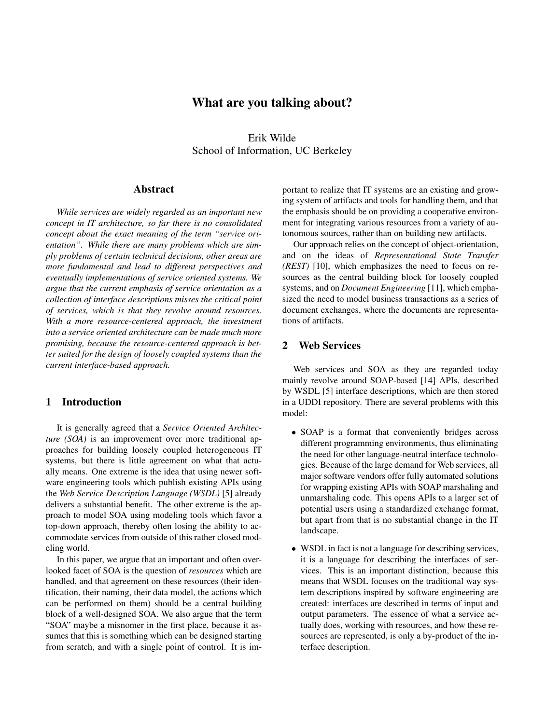# What are you talking about?

Erik Wilde School of Information, UC Berkeley

#### Abstract

*While services are widely regarded as an important new concept in IT architecture, so far there is no consolidated concept about the exact meaning of the term "service orientation". While there are many problems which are simply problems of certain technical decisions, other areas are more fundamental and lead to different perspectives and eventually implementations of service oriented systems. We argue that the current emphasis of service orientation as a collection of interface descriptions misses the critical point of services, which is that they revolve around resources. With a more resource-centered approach, the investment into a service oriented architecture can be made much more promising, because the resource-centered approach is better suited for the design of loosely coupled systems than the current interface-based approach.*

## 1 Introduction

It is generally agreed that a *Service Oriented Architecture (SOA)* is an improvement over more traditional approaches for building loosely coupled heterogeneous IT systems, but there is little agreement on what that actually means. One extreme is the idea that using newer software engineering tools which publish existing APIs using the *Web Service Description Language (WSDL)* [\[5\]](#page-5-0) already delivers a substantial benefit. The other extreme is the approach to model SOA using modeling tools which favor a top-down approach, thereby often losing the ability to accommodate services from outside of this rather closed modeling world.

In this paper, we argue that an important and often overlooked facet of SOA is the question of *resources* which are handled, and that agreement on these resources (their identification, their naming, their data model, the actions which can be performed on them) should be a central building block of a well-designed SOA. We also argue that the term "SOA" maybe a misnomer in the first place, because it assumes that this is something which can be designed starting from scratch, and with a single point of control. It is important to realize that IT systems are an existing and growing system of artifacts and tools for handling them, and that the emphasis should be on providing a cooperative environment for integrating various resources from a variety of autonomous sources, rather than on building new artifacts.

Our approach relies on the concept of object-orientation, and on the ideas of *Representational State Transfer (REST)* [\[10\]](#page-5-0), which emphasizes the need to focus on resources as the central building block for loosely coupled systems, and on *Document Engineering* [\[11\]](#page-5-0), which emphasized the need to model business transactions as a series of document exchanges, where the documents are representations of artifacts.

### 2 Web Services

Web services and SOA as they are regarded today mainly revolve around SOAP-based [\[14\]](#page-5-0) APIs, described by WSDL [\[5\]](#page-5-0) interface descriptions, which are then stored in a UDDI repository. There are several problems with this model:

- SOAP is a format that conveniently bridges across different programming environments, thus eliminating the need for other language-neutral interface technologies. Because of the large demand for Web services, all major software vendors offer fully automated solutions for wrapping existing APIs with SOAP marshaling and unmarshaling code. This opens APIs to a larger set of potential users using a standardized exchange format, but apart from that is no substantial change in the IT landscape.
- WSDL in fact is not a language for describing services, it is a language for describing the interfaces of services. This is an important distinction, because this means that WSDL focuses on the traditional way system descriptions inspired by software engineering are created: interfaces are described in terms of input and output parameters. The essence of what a service actually does, working with resources, and how these resources are represented, is only a by-product of the interface description.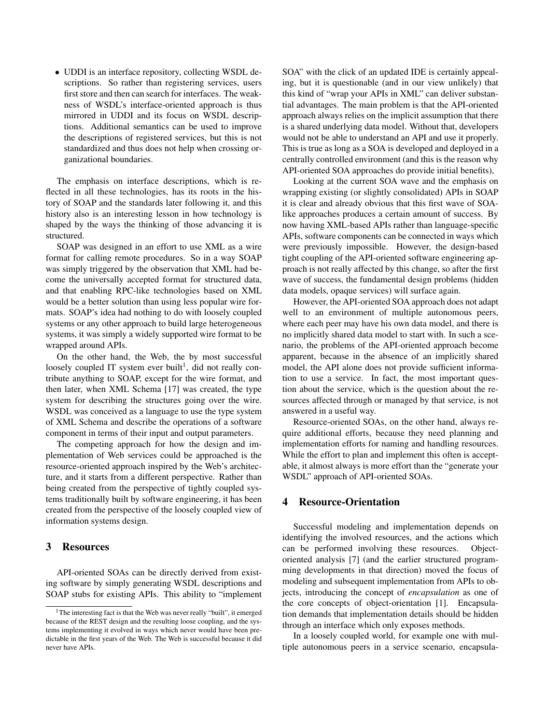• UDDI is an interface repository, collecting WSDL descriptions. So rather than registering services, users first store and then can search for interfaces. The weakness of WSDL's interface-oriented approach is thus mirrored in UDDI and its focus on WSDL descriptions. Additional semantics can be used to improve the descriptions of registered services, but this is not standardized and thus does not help when crossing organizational boundaries.

The emphasis on interface descriptions, which is reflected in all these technologies, has its roots in the history of SOAP and the standards later following it, and this history also is an interesting lesson in how technology is shaped by the ways the thinking of those advancing it is structured.

SOAP was designed in an effort to use XML as a wire format for calling remote procedures. So in a way SOAP was simply triggered by the observation that XML had become the universally accepted format for structured data, and that enabling RPC-like technologies based on XML would be a better solution than using less popular wire formats. SOAP's idea had nothing to do with loosely coupled systems or any other approach to build large heterogeneous systems, it was simply a widely supported wire format to be wrapped around APIs.

On the other hand, the Web, the by most successful loosely coupled IT system ever built<sup>1</sup>, did not really contribute anything to SOAP, except for the wire format, and then later, when XML Schema [\[17\]](#page-5-0) was created, the type system for describing the structures going over the wire. WSDL was conceived as a language to use the type system of XML Schema and describe the operations of a software component in terms of their input and output parameters.

The competing approach for how the design and implementation of Web services could be approached is the resource-oriented approach inspired by the Web's architecture, and it starts from a different perspective. Rather than being created from the perspective of tightly coupled systems traditionally built by software engineering, it has been created from the perspective of the loosely coupled view of information systems design.

#### 3 Resources

API-oriented SOAs can be directly derived from existing software by simply generating WSDL descriptions and SOAP stubs for existing APIs. This ability to "implement SOA" with the click of an updated IDE is certainly appealing, but it is questionable (and in our view unlikely) that this kind of "wrap your APIs in XML" can deliver substantial advantages. The main problem is that the API-oriented approach always relies on the implicit assumption that there is a shared underlying data model. Without that, developers would not be able to understand an API and use it properly. This is true as long as a SOA is developed and deployed in a centrally controlled environment (and this is the reason why API-oriented SOA approaches do provide initial benefits),

Looking at the current SOA wave and the emphasis on wrapping existing (or slightly consolidated) APIs in SOAP it is clear and already obvious that this first wave of SOAlike approaches produces a certain amount of success. By now having XML-based APIs rather than language-specific APIs, software components can be connected in ways which were previously impossible. However, the design-based tight coupling of the API-oriented software engineering approach is not really affected by this change, so after the first wave of success, the fundamental design problems (hidden data models, opaque services) will surface again.

However, the API-oriented SOA approach does not adapt well to an environment of multiple autonomous peers, where each peer may have his own data model, and there is no implicitly shared data model to start with. In such a scenario, the problems of the API-oriented approach become apparent, because in the absence of an implicitly shared model, the API alone does not provide sufficient information to use a service. In fact, the most important question about the service, which is the question about the resources affected through or managed by that service, is not answered in a useful way.

Resource-oriented SOAs, on the other hand, always require additional efforts, because they need planning and implementation efforts for naming and handling resources. While the effort to plan and implement this often is acceptable, it almost always is more effort than the "generate your WSDL" approach of API-oriented SOAs.

## 4 Resource-Orientation

Successful modeling and implementation depends on identifying the involved resources, and the actions which can be performed involving these resources. Objectoriented analysis [\[7\]](#page-5-0) (and the earlier structured programming developments in that direction) moved the focus of modeling and subsequent implementation from APIs to objects, introducing the concept of *encapsulation* as one of the core concepts of object-orientation [\[1\]](#page-5-0). Encapsulation demands that implementation details should be hidden through an interface which only exposes methods.

In a loosely coupled world, for example one with multiple autonomous peers in a service scenario, encapsula-

<sup>&</sup>lt;sup>1</sup>The interesting fact is that the Web was never really "built", it emerged because of the REST design and the resulting loose coupling, and the systems implementing it evolved in ways which never would have been predictable in the first years of the Web. The Web is successful because it did never have APIs.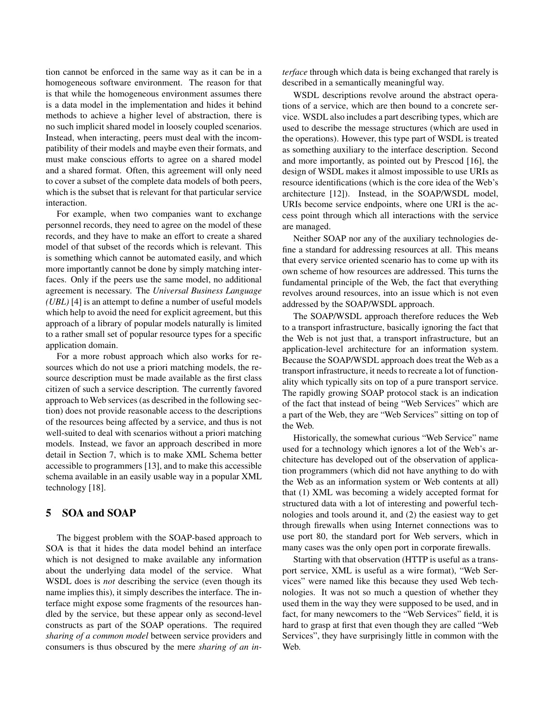tion cannot be enforced in the same way as it can be in a homogeneous software environment. The reason for that is that while the homogeneous environment assumes there is a data model in the implementation and hides it behind methods to achieve a higher level of abstraction, there is no such implicit shared model in loosely coupled scenarios. Instead, when interacting, peers must deal with the incompatibility of their models and maybe even their formats, and must make conscious efforts to agree on a shared model and a shared format. Often, this agreement will only need to cover a subset of the complete data models of both peers, which is the subset that is relevant for that particular service interaction.

For example, when two companies want to exchange personnel records, they need to agree on the model of these records, and they have to make an effort to create a shared model of that subset of the records which is relevant. This is something which cannot be automated easily, and which more importantly cannot be done by simply matching interfaces. Only if the peers use the same model, no additional agreement is necessary. The *Universal Business Language (UBL)* [\[4\]](#page-5-0) is an attempt to define a number of useful models which help to avoid the need for explicit agreement, but this approach of a library of popular models naturally is limited to a rather small set of popular resource types for a specific application domain.

For a more robust approach which also works for resources which do not use a priori matching models, the resource description must be made available as the first class citizen of such a service description. The currently favored approach to Web services (as described in the following section) does not provide reasonable access to the descriptions of the resources being affected by a service, and thus is not well-suited to deal with scenarios without a priori matching models. Instead, we favor an approach described in more detail in Section [7,](#page-4-0) which is to make XML Schema better accessible to programmers [\[13\]](#page-5-0), and to make this accessible schema available in an easily usable way in a popular XML technology [\[18\]](#page-5-0).

# 5 SOA and SOAP

The biggest problem with the SOAP-based approach to SOA is that it hides the data model behind an interface which is not designed to make available any information about the underlying data model of the service. What WSDL does is *not* describing the service (even though its name implies this), it simply describes the interface. The interface might expose some fragments of the resources handled by the service, but these appear only as second-level constructs as part of the SOAP operations. The required *sharing of a common model* between service providers and consumers is thus obscured by the mere *sharing of an in-* *terface* through which data is being exchanged that rarely is described in a semantically meaningful way.

WSDL descriptions revolve around the abstract operations of a service, which are then bound to a concrete service. WSDL also includes a part describing types, which are used to describe the message structures (which are used in the operations). However, this type part of WSDL is treated as something auxiliary to the interface description. Second and more importantly, as pointed out by Prescod [\[16\]](#page-5-0), the design of WSDL makes it almost impossible to use URIs as resource identifications (which is the core idea of the Web's architecture [\[12\]](#page-5-0)). Instead, in the SOAP/WSDL model, URIs become service endpoints, where one URI is the access point through which all interactions with the service are managed.

Neither SOAP nor any of the auxiliary technologies define a standard for addressing resources at all. This means that every service oriented scenario has to come up with its own scheme of how resources are addressed. This turns the fundamental principle of the Web, the fact that everything revolves around resources, into an issue which is not even addressed by the SOAP/WSDL approach.

The SOAP/WSDL approach therefore reduces the Web to a transport infrastructure, basically ignoring the fact that the Web is not just that, a transport infrastructure, but an application-level architecture for an information system. Because the SOAP/WSDL approach does treat the Web as a transport infrastructure, it needs to recreate a lot of functionality which typically sits on top of a pure transport service. The rapidly growing SOAP protocol stack is an indication of the fact that instead of being "Web Services" which are a part of the Web, they are "Web Services" sitting on top of the Web.

Historically, the somewhat curious "Web Service" name used for a technology which ignores a lot of the Web's architecture has developed out of the observation of application programmers (which did not have anything to do with the Web as an information system or Web contents at all) that (1) XML was becoming a widely accepted format for structured data with a lot of interesting and powerful technologies and tools around it, and (2) the easiest way to get through firewalls when using Internet connections was to use port 80, the standard port for Web servers, which in many cases was the only open port in corporate firewalls.

Starting with that observation (HTTP is useful as a transport service, XML is useful as a wire format), "Web Services" were named like this because they used Web technologies. It was not so much a question of whether they used them in the way they were supposed to be used, and in fact, for many newcomers to the "Web Services" field, it is hard to grasp at first that even though they are called "Web Services", they have surprisingly little in common with the Web.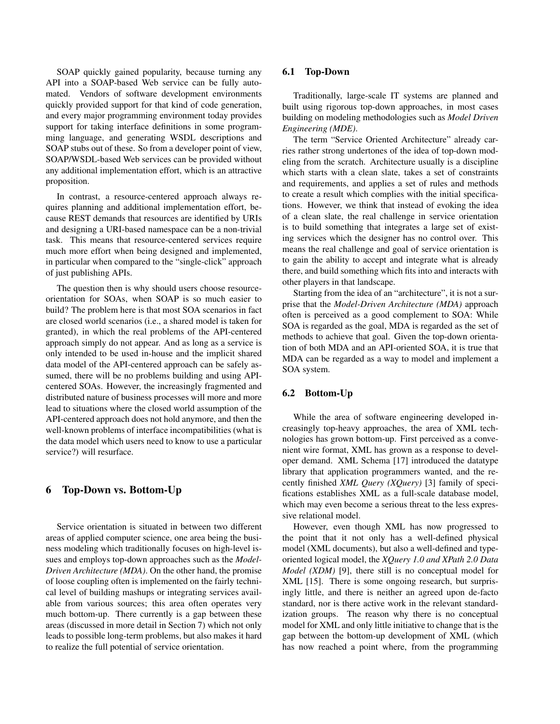SOAP quickly gained popularity, because turning any API into a SOAP-based Web service can be fully automated. Vendors of software development environments quickly provided support for that kind of code generation, and every major programming environment today provides support for taking interface definitions in some programming language, and generating WSDL descriptions and SOAP stubs out of these. So from a developer point of view, SOAP/WSDL-based Web services can be provided without any additional implementation effort, which is an attractive proposition.

In contrast, a resource-centered approach always requires planning and additional implementation effort, because REST demands that resources are identified by URIs and designing a URI-based namespace can be a non-trivial task. This means that resource-centered services require much more effort when being designed and implemented, in particular when compared to the "single-click" approach of just publishing APIs.

The question then is why should users choose resourceorientation for SOAs, when SOAP is so much easier to build? The problem here is that most SOA scenarios in fact are closed world scenarios (i.e., a shared model is taken for granted), in which the real problems of the API-centered approach simply do not appear. And as long as a service is only intended to be used in-house and the implicit shared data model of the API-centered approach can be safely assumed, there will be no problems building and using APIcentered SOAs. However, the increasingly fragmented and distributed nature of business processes will more and more lead to situations where the closed world assumption of the API-centered approach does not hold anymore, and then the well-known problems of interface incompatibilities (what is the data model which users need to know to use a particular service?) will resurface.

## 6 Top-Down vs. Bottom-Up

Service orientation is situated in between two different areas of applied computer science, one area being the business modeling which traditionally focuses on high-level issues and employs top-down approaches such as the *Model-Driven Architecture (MDA)*. On the other hand, the promise of loose coupling often is implemented on the fairly technical level of building mashups or integrating services available from various sources; this area often operates very much bottom-up. There currently is a gap between these areas (discussed in more detail in Section [7\)](#page-4-0) which not only leads to possible long-term problems, but also makes it hard to realize the full potential of service orientation.

#### 6.1 Top-Down

Traditionally, large-scale IT systems are planned and built using rigorous top-down approaches, in most cases building on modeling methodologies such as *Model Driven Engineering (MDE)*.

The term "Service Oriented Architecture" already carries rather strong undertones of the idea of top-down modeling from the scratch. Architecture usually is a discipline which starts with a clean slate, takes a set of constraints and requirements, and applies a set of rules and methods to create a result which complies with the initial specifications. However, we think that instead of evoking the idea of a clean slate, the real challenge in service orientation is to build something that integrates a large set of existing services which the designer has no control over. This means the real challenge and goal of service orientation is to gain the ability to accept and integrate what is already there, and build something which fits into and interacts with other players in that landscape.

Starting from the idea of an "architecture", it is not a surprise that the *Model-Driven Architecture (MDA)* approach often is perceived as a good complement to SOA: While SOA is regarded as the goal, MDA is regarded as the set of methods to achieve that goal. Given the top-down orientation of both MDA and an API-oriented SOA, it is true that MDA can be regarded as a way to model and implement a SOA system.

#### 6.2 Bottom-Up

While the area of software engineering developed increasingly top-heavy approaches, the area of XML technologies has grown bottom-up. First perceived as a convenient wire format, XML has grown as a response to developer demand. XML Schema [\[17\]](#page-5-0) introduced the datatype library that application programmers wanted, and the recently finished *XML Query (XQuery)* [\[3\]](#page-5-0) family of specifications establishes XML as a full-scale database model, which may even become a serious threat to the less expressive relational model.

However, even though XML has now progressed to the point that it not only has a well-defined physical model (XML documents), but also a well-defined and typeoriented logical model, the *XQuery 1.0 and XPath 2.0 Data Model (XDM)* [\[9\]](#page-5-0), there still is no conceptual model for XML [\[15\]](#page-5-0). There is some ongoing research, but surprisingly little, and there is neither an agreed upon de-facto standard, nor is there active work in the relevant standardization groups. The reason why there is no conceptual model for XML and only little initiative to change that is the gap between the bottom-up development of XML (which has now reached a point where, from the programming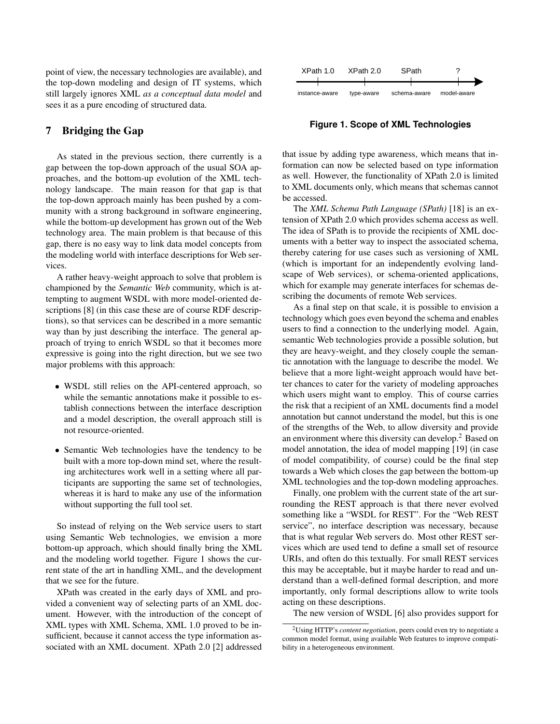<span id="page-4-0"></span>point of view, the necessary technologies are available), and the top-down modeling and design of IT systems, which still largely ignores XML *as a conceptual data model* and sees it as a pure encoding of structured data.

## 7 Bridging the Gap

As stated in the previous section, there currently is a gap between the top-down approach of the usual SOA approaches, and the bottom-up evolution of the XML technology landscape. The main reason for that gap is that the top-down approach mainly has been pushed by a community with a strong background in software engineering, while the bottom-up development has grown out of the Web technology area. The main problem is that because of this gap, there is no easy way to link data model concepts from the modeling world with interface descriptions for Web services.

A rather heavy-weight approach to solve that problem is championed by the *Semantic Web* community, which is attempting to augment WSDL with more model-oriented descriptions [\[8\]](#page-5-0) (in this case these are of course RDF descriptions), so that services can be described in a more semantic way than by just describing the interface. The general approach of trying to enrich WSDL so that it becomes more expressive is going into the right direction, but we see two major problems with this approach:

- WSDL still relies on the API-centered approach, so while the semantic annotations make it possible to establish connections between the interface description and a model description, the overall approach still is not resource-oriented.
- Semantic Web technologies have the tendency to be built with a more top-down mind set, where the resulting architectures work well in a setting where all participants are supporting the same set of technologies, whereas it is hard to make any use of the information without supporting the full tool set.

So instead of relying on the Web service users to start using Semantic Web technologies, we envision a more bottom-up approach, which should finally bring the XML and the modeling world together. Figure 1 shows the current state of the art in handling XML, and the development that we see for the future.

XPath was created in the early days of XML and provided a convenient way of selecting parts of an XML document. However, with the introduction of the concept of XML types with XML Schema, XML 1.0 proved to be insufficient, because it cannot access the type information associated with an XML document. XPath 2.0 [\[2\]](#page-5-0) addressed



**Figure 1. Scope of XML Technologies**

that issue by adding type awareness, which means that information can now be selected based on type information as well. However, the functionality of XPath 2.0 is limited to XML documents only, which means that schemas cannot be accessed.

The *XML Schema Path Language (SPath)* [\[18\]](#page-5-0) is an extension of XPath 2.0 which provides schema access as well. The idea of SPath is to provide the recipients of XML documents with a better way to inspect the associated schema, thereby catering for use cases such as versioning of XML (which is important for an independently evolving landscape of Web services), or schema-oriented applications, which for example may generate interfaces for schemas describing the documents of remote Web services.

As a final step on that scale, it is possible to envision a technology which goes even beyond the schema and enables users to find a connection to the underlying model. Again, semantic Web technologies provide a possible solution, but they are heavy-weight, and they closely couple the semantic annotation with the language to describe the model. We believe that a more light-weight approach would have better chances to cater for the variety of modeling approaches which users might want to employ. This of course carries the risk that a recipient of an XML documents find a model annotation but cannot understand the model, but this is one of the strengths of the Web, to allow diversity and provide an environment where this diversity can develop.<sup>2</sup> Based on model annotation, the idea of model mapping [\[19\]](#page-5-0) (in case of model compatibility, of course) could be the final step towards a Web which closes the gap between the bottom-up XML technologies and the top-down modeling approaches.

Finally, one problem with the current state of the art surrounding the REST approach is that there never evolved something like a "WSDL for REST". For the "Web REST service", no interface description was necessary, because that is what regular Web servers do. Most other REST services which are used tend to define a small set of resource URIs, and often do this textually. For small REST services this may be acceptable, but it maybe harder to read and understand than a well-defined formal description, and more importantly, only formal descriptions allow to write tools acting on these descriptions.

The new version of WSDL [\[6\]](#page-5-0) also provides support for

<sup>2</sup>Using HTTP's *content negotiation*, peers could even try to negotiate a common model format, using available Web features to improve compatibility in a heterogeneous environment.